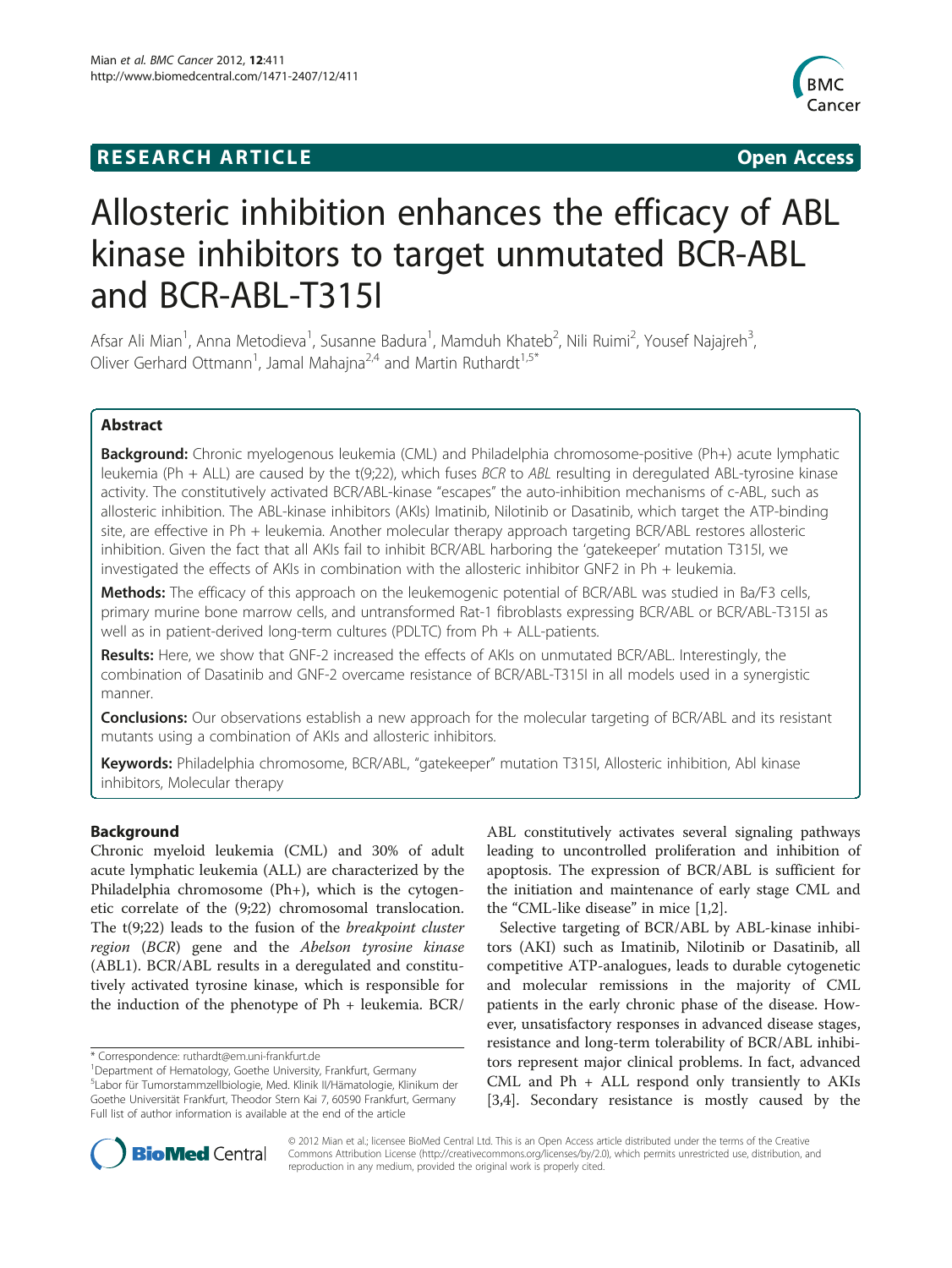## **RESEARCH ARTICLE Example 2018 12:00 Open Access**



# Allosteric inhibition enhances the efficacy of ABL kinase inhibitors to target unmutated BCR-ABL and BCR-ABL-T315I

Afsar Ali Mian<sup>1</sup>, Anna Metodieva<sup>1</sup>, Susanne Badura<sup>1</sup>, Mamduh Khateb<sup>2</sup>, Nili Ruimi<sup>2</sup>, Yousef Najajreh<sup>3</sup> , Oliver Gerhard Ottmann<sup>1</sup>, Jamal Mahajna<sup>2,4</sup> and Martin Ruthardt<sup>1,5\*</sup>

## Abstract

Background: Chronic myelogenous leukemia (CML) and Philadelphia chromosome-positive (Ph+) acute lymphatic leukemia (Ph + ALL) are caused by the t(9;22), which fuses BCR to ABL resulting in deregulated ABL-tyrosine kinase activity. The constitutively activated BCR/ABL-kinase "escapes" the auto-inhibition mechanisms of c-ABL, such as allosteric inhibition. The ABL-kinase inhibitors (AKIs) Imatinib, Nilotinib or Dasatinib, which target the ATP-binding site, are effective in Ph + leukemia. Another molecular therapy approach targeting BCR/ABL restores allosteric inhibition. Given the fact that all AKIs fail to inhibit BCR/ABL harboring the 'gatekeeper' mutation T315I, we investigated the effects of AKIs in combination with the allosteric inhibitor GNF2 in Ph + leukemia.

Methods: The efficacy of this approach on the leukemogenic potential of BCR/ABL was studied in Ba/F3 cells, primary murine bone marrow cells, and untransformed Rat-1 fibroblasts expressing BCR/ABL or BCR/ABL-T315I as well as in patient-derived long-term cultures (PDLTC) from Ph + ALL-patients.

Results: Here, we show that GNF-2 increased the effects of AKIs on unmutated BCR/ABL. Interestingly, the combination of Dasatinib and GNF-2 overcame resistance of BCR/ABL-T315I in all models used in a synergistic manner.

**Conclusions:** Our observations establish a new approach for the molecular targeting of BCR/ABL and its resistant mutants using a combination of AKIs and allosteric inhibitors.

Keywords: Philadelphia chromosome, BCR/ABL, "gatekeeper" mutation T315I, Allosteric inhibition, Abl kinase inhibitors, Molecular therapy

#### Background

Chronic myeloid leukemia (CML) and 30% of adult acute lymphatic leukemia (ALL) are characterized by the Philadelphia chromosome (Ph+), which is the cytogenetic correlate of the (9;22) chromosomal translocation. The t(9;22) leads to the fusion of the breakpoint cluster region (BCR) gene and the Abelson tyrosine kinase (ABL1). BCR/ABL results in a deregulated and constitutively activated tyrosine kinase, which is responsible for the induction of the phenotype of Ph + leukemia. BCR/

\* Correspondence: [ruthardt@em.uni-frankfurt.de](mailto:ruthardt@em.uni-rankfurt.de) <sup>1</sup>

ABL constitutively activates several signaling pathways leading to uncontrolled proliferation and inhibition of apoptosis. The expression of BCR/ABL is sufficient for the initiation and maintenance of early stage CML and the "CML-like disease" in mice [\[1,2\]](#page-6-0).

Selective targeting of BCR/ABL by ABL-kinase inhibitors (AKI) such as Imatinib, Nilotinib or Dasatinib, all competitive ATP-analogues, leads to durable cytogenetic and molecular remissions in the majority of CML patients in the early chronic phase of the disease. However, unsatisfactory responses in advanced disease stages, resistance and long-term tolerability of BCR/ABL inhibitors represent major clinical problems. In fact, advanced CML and Ph + ALL respond only transiently to AKIs [[3,4\]](#page-6-0). Secondary resistance is mostly caused by the



© 2012 Mian et al.; licensee BioMed Central Ltd. This is an Open Access article distributed under the terms of the Creative Commons Attribution License [\(http://creativecommons.org/licenses/by/2.0\)](http://creativecommons.org/licenses/by/2.0), which permits unrestricted use, distribution, and reproduction in any medium, provided the original work is properly cited.

Department of Hematology, Goethe University, Frankfurt, Germany 5 Labor für Tumorstammzellbiologie, Med. Klinik II/Hämatologie, Klinikum der Goethe Universität Frankfurt, Theodor Stern Kai 7, 60590 Frankfurt, Germany Full list of author information is available at the end of the article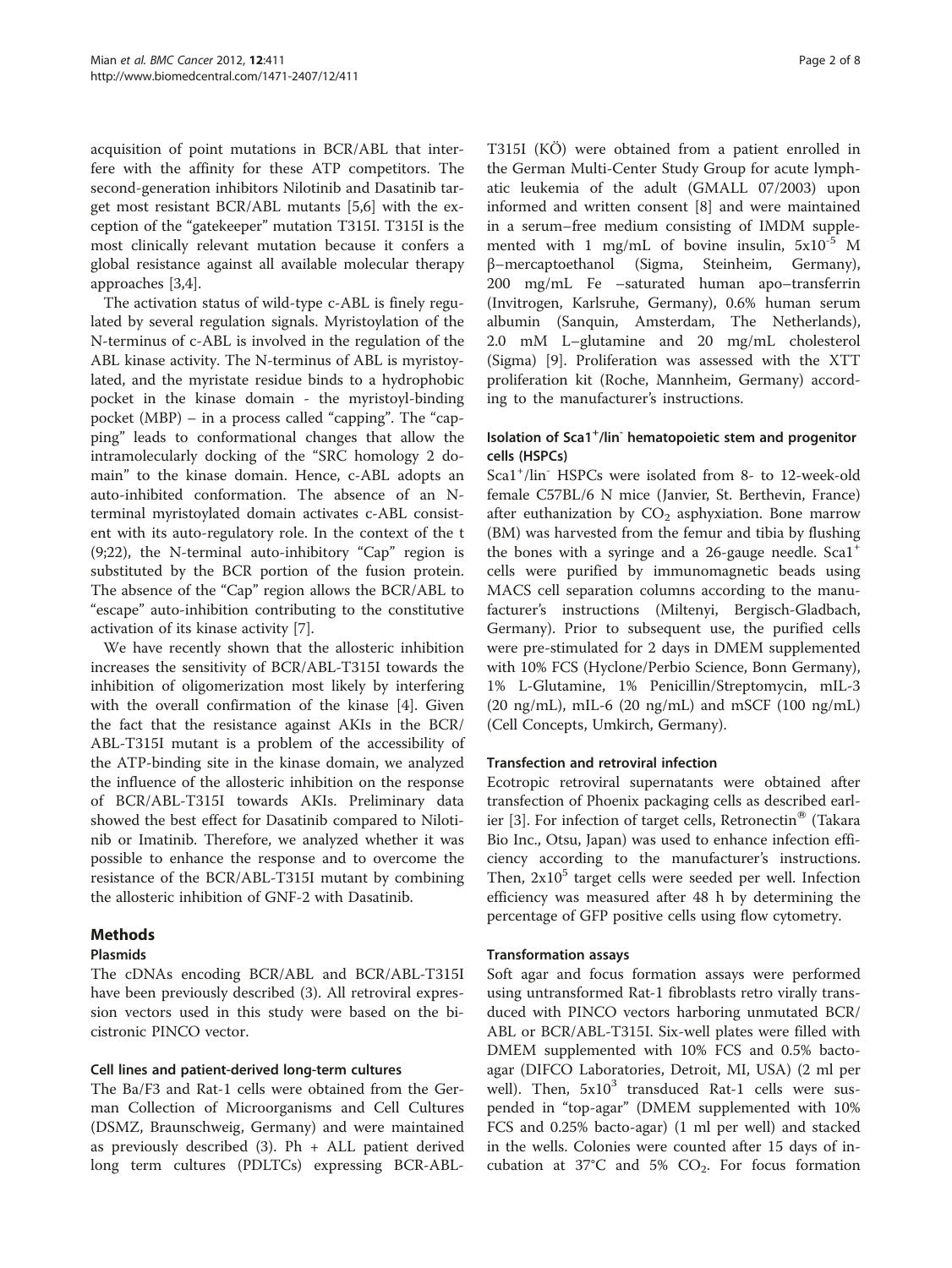acquisition of point mutations in BCR/ABL that interfere with the affinity for these ATP competitors. The second-generation inhibitors Nilotinib and Dasatinib target most resistant BCR/ABL mutants [\[5,6](#page-6-0)] with the exception of the "gatekeeper" mutation T315I. T315I is the most clinically relevant mutation because it confers a global resistance against all available molecular therapy approaches [[3,4\]](#page-6-0).

The activation status of wild-type c-ABL is finely regulated by several regulation signals. Myristoylation of the N-terminus of c-ABL is involved in the regulation of the ABL kinase activity. The N-terminus of ABL is myristoylated, and the myristate residue binds to a hydrophobic pocket in the kinase domain - the myristoyl-binding pocket (MBP) – in a process called "capping". The "capping" leads to conformational changes that allow the intramolecularly docking of the "SRC homology 2 domain" to the kinase domain. Hence, c-ABL adopts an auto-inhibited conformation. The absence of an Nterminal myristoylated domain activates c-ABL consistent with its auto-regulatory role. In the context of the t (9;22), the N-terminal auto-inhibitory "Cap" region is substituted by the BCR portion of the fusion protein. The absence of the "Cap" region allows the BCR/ABL to "escape" auto-inhibition contributing to the constitutive activation of its kinase activity [[7](#page-6-0)].

We have recently shown that the allosteric inhibition increases the sensitivity of BCR/ABL-T315I towards the inhibition of oligomerization most likely by interfering with the overall confirmation of the kinase [\[4](#page-6-0)]. Given the fact that the resistance against AKIs in the BCR/ ABL-T315I mutant is a problem of the accessibility of the ATP-binding site in the kinase domain, we analyzed the influence of the allosteric inhibition on the response of BCR/ABL-T315I towards AKIs. Preliminary data showed the best effect for Dasatinib compared to Nilotinib or Imatinib. Therefore, we analyzed whether it was possible to enhance the response and to overcome the resistance of the BCR/ABL-T315I mutant by combining the allosteric inhibition of GNF-2 with Dasatinib.

## Methods

#### Plasmids

The cDNAs encoding BCR/ABL and BCR/ABL-T315I have been previously described (3). All retroviral expression vectors used in this study were based on the bicistronic PINCO vector.

## Cell lines and patient-derived long-term cultures

The Ba/F3 and Rat-1 cells were obtained from the German Collection of Microorganisms and Cell Cultures (DSMZ, Braunschweig, Germany) and were maintained as previously described  $(3)$ . Ph + ALL patient derived long term cultures (PDLTCs) expressing BCR-ABL-

T315I (KÖ) were obtained from a patient enrolled in the German Multi-Center Study Group for acute lymphatic leukemia of the adult (GMALL 07/2003) upon informed and written consent [[8\]](#page-6-0) and were maintained in a serum–free medium consisting of IMDM supplemented with 1 mg/mL of bovine insulin,  $5x10^{-5}$  M β–mercaptoethanol (Sigma, Steinheim, Germany), 200 mg/mL Fe –saturated human apo–transferrin (Invitrogen, Karlsruhe, Germany), 0.6% human serum albumin (Sanquin, Amsterdam, The Netherlands), 2.0 mM L–glutamine and 20 mg/mL cholesterol (Sigma) [[9\]](#page-6-0). Proliferation was assessed with the XTT proliferation kit (Roche, Mannheim, Germany) according to the manufacturer's instructions.

## Isolation of Sca1<sup>+</sup>/lin<sup>-</sup> hematopoietic stem and progenitor cells (HSPCs)

Sca1<sup>+</sup> /lin- HSPCs were isolated from 8- to 12-week-old female C57BL/6 N mice (Janvier, St. Berthevin, France) after euthanization by  $CO<sub>2</sub>$  asphyxiation. Bone marrow (BM) was harvested from the femur and tibia by flushing the bones with a syringe and a 26-gauge needle.  $Scal^+$ cells were purified by immunomagnetic beads using MACS cell separation columns according to the manufacturer's instructions (Miltenyi, Bergisch-Gladbach, Germany). Prior to subsequent use, the purified cells were pre-stimulated for 2 days in DMEM supplemented with 10% FCS (Hyclone/Perbio Science, Bonn Germany), 1% L-Glutamine, 1% Penicillin/Streptomycin, mIL-3  $(20 \text{ ng/mL})$ , mIL-6  $(20 \text{ ng/mL})$  and mSCF  $(100 \text{ ng/mL})$ (Cell Concepts, Umkirch, Germany).

## Transfection and retroviral infection

Ecotropic retroviral supernatants were obtained after transfection of Phoenix packaging cells as described earl-ier [[3](#page-6-0)]. For infection of target cells, Retronectin® (Takara Bio Inc., Otsu, Japan) was used to enhance infection efficiency according to the manufacturer's instructions. Then,  $2x10^5$  target cells were seeded per well. Infection efficiency was measured after 48 h by determining the percentage of GFP positive cells using flow cytometry.

#### Transformation assays

Soft agar and focus formation assays were performed using untransformed Rat-1 fibroblasts retro virally transduced with PINCO vectors harboring unmutated BCR/ ABL or BCR/ABL-T315I. Six-well plates were filled with DMEM supplemented with 10% FCS and 0.5% bactoagar (DIFCO Laboratories, Detroit, MI, USA) (2 ml per well). Then,  $5x10^3$  transduced Rat-1 cells were suspended in "top-agar" (DMEM supplemented with 10% FCS and 0.25% bacto-agar) (1 ml per well) and stacked in the wells. Colonies were counted after 15 days of incubation at 37°C and 5%  $CO<sub>2</sub>$ . For focus formation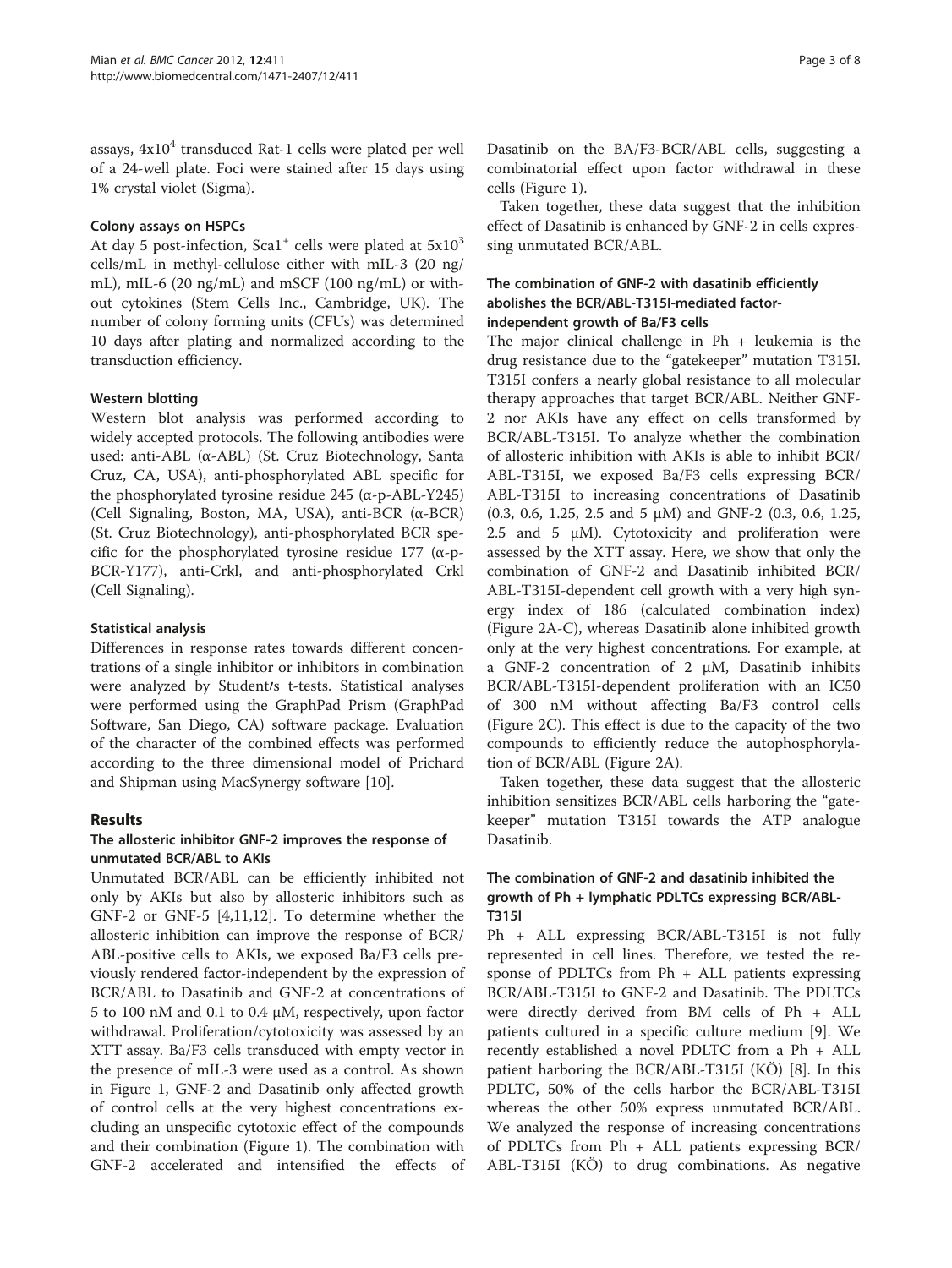assays,  $4x10<sup>4</sup>$  transduced Rat-1 cells were plated per well of a 24-well plate. Foci were stained after 15 days using 1% crystal violet (Sigma).

#### Colony assays on HSPCs

At day 5 post-infection, Sca1<sup>+</sup> cells were plated at  $5x10<sup>3</sup>$ cells/mL in methyl-cellulose either with mIL-3 (20 ng/ mL), mIL-6 (20 ng/mL) and mSCF (100 ng/mL) or without cytokines (Stem Cells Inc., Cambridge, UK). The number of colony forming units (CFUs) was determined 10 days after plating and normalized according to the transduction efficiency.

#### Western blotting

Western blot analysis was performed according to widely accepted protocols. The following antibodies were used: anti-ABL (α-ABL) (St. Cruz Biotechnology, Santa Cruz, CA, USA), anti-phosphorylated ABL specific for the phosphorylated tyrosine residue 245 (α-p-ABL-Y245) (Cell Signaling, Boston, MA, USA), anti-BCR (α-BCR) (St. Cruz Biotechnology), anti-phosphorylated BCR specific for the phosphorylated tyrosine residue 177 ( $\alpha$ -p-BCR-Y177), anti-Crkl, and anti-phosphorylated Crkl (Cell Signaling).

#### Statistical analysis

Differences in response rates towards different concentrations of a single inhibitor or inhibitors in combination were analyzed by Student/s t-tests. Statistical analyses were performed using the GraphPad Prism (GraphPad Software, San Diego, CA) software package. Evaluation of the character of the combined effects was performed according to the three dimensional model of Prichard and Shipman using MacSynergy software [[10](#page-6-0)].

#### Results

#### The allosteric inhibitor GNF-2 improves the response of unmutated BCR/ABL to AKIs

Unmutated BCR/ABL can be efficiently inhibited not only by AKIs but also by allosteric inhibitors such as GNF-2 or GNF-5 [\[4,11,12\]](#page-6-0). To determine whether the allosteric inhibition can improve the response of BCR/ ABL-positive cells to AKIs, we exposed Ba/F3 cells previously rendered factor-independent by the expression of BCR/ABL to Dasatinib and GNF-2 at concentrations of 5 to 100 nM and 0.1 to 0.4 μM, respectively, upon factor withdrawal. Proliferation/cytotoxicity was assessed by an XTT assay. Ba/F3 cells transduced with empty vector in the presence of mIL-3 were used as a control. As shown in Figure [1,](#page-3-0) GNF-2 and Dasatinib only affected growth of control cells at the very highest concentrations excluding an unspecific cytotoxic effect of the compounds and their combination (Figure [1\)](#page-3-0). The combination with GNF-2 accelerated and intensified the effects of

Dasatinib on the BA/F3-BCR/ABL cells, suggesting a combinatorial effect upon factor withdrawal in these cells (Figure [1](#page-3-0)).

Taken together, these data suggest that the inhibition effect of Dasatinib is enhanced by GNF-2 in cells expressing unmutated BCR/ABL.

#### The combination of GNF-2 with dasatinib efficiently abolishes the BCR/ABL-T315I-mediated factorindependent growth of Ba/F3 cells

The major clinical challenge in  $Ph +$  leukemia is the drug resistance due to the "gatekeeper" mutation T315I. T315I confers a nearly global resistance to all molecular therapy approaches that target BCR/ABL. Neither GNF-2 nor AKIs have any effect on cells transformed by BCR/ABL-T315I. To analyze whether the combination of allosteric inhibition with AKIs is able to inhibit BCR/ ABL-T315I, we exposed Ba/F3 cells expressing BCR/ ABL-T315I to increasing concentrations of Dasatinib (0.3, 0.6, 1.25, 2.5 and 5 μM) and GNF-2 (0.3, 0.6, 1.25, 2.5 and 5  $\mu$ M). Cytotoxicity and proliferation were assessed by the XTT assay. Here, we show that only the combination of GNF-2 and Dasatinib inhibited BCR/ ABL-T315I-dependent cell growth with a very high synergy index of 186 (calculated combination index) (Figure [2A-C\)](#page-3-0), whereas Dasatinib alone inhibited growth only at the very highest concentrations. For example, at a GNF-2 concentration of 2 μM, Dasatinib inhibits BCR/ABL-T315I-dependent proliferation with an IC50 of 300 nM without affecting Ba/F3 control cells (Figure [2C](#page-3-0)). This effect is due to the capacity of the two compounds to efficiently reduce the autophosphorylation of BCR/ABL (Figure [2A](#page-3-0)).

Taken together, these data suggest that the allosteric inhibition sensitizes BCR/ABL cells harboring the "gatekeeper" mutation T315I towards the ATP analogue Dasatinib.

#### The combination of GNF-2 and dasatinib inhibited the growth of Ph + lymphatic PDLTCs expressing BCR/ABL-T315I

Ph + ALL expressing BCR/ABL-T315I is not fully represented in cell lines. Therefore, we tested the response of PDLTCs from Ph + ALL patients expressing BCR/ABL-T315I to GNF-2 and Dasatinib. The PDLTCs were directly derived from BM cells of Ph + ALL patients cultured in a specific culture medium [[9\]](#page-6-0). We recently established a novel PDLTC from a Ph + ALL patient harboring the BCR/ABL-T315I (KÖ) [\[8](#page-6-0)]. In this PDLTC, 50% of the cells harbor the BCR/ABL-T315I whereas the other 50% express unmutated BCR/ABL. We analyzed the response of increasing concentrations of PDLTCs from Ph + ALL patients expressing BCR/ ABL-T315I (KÖ) to drug combinations. As negative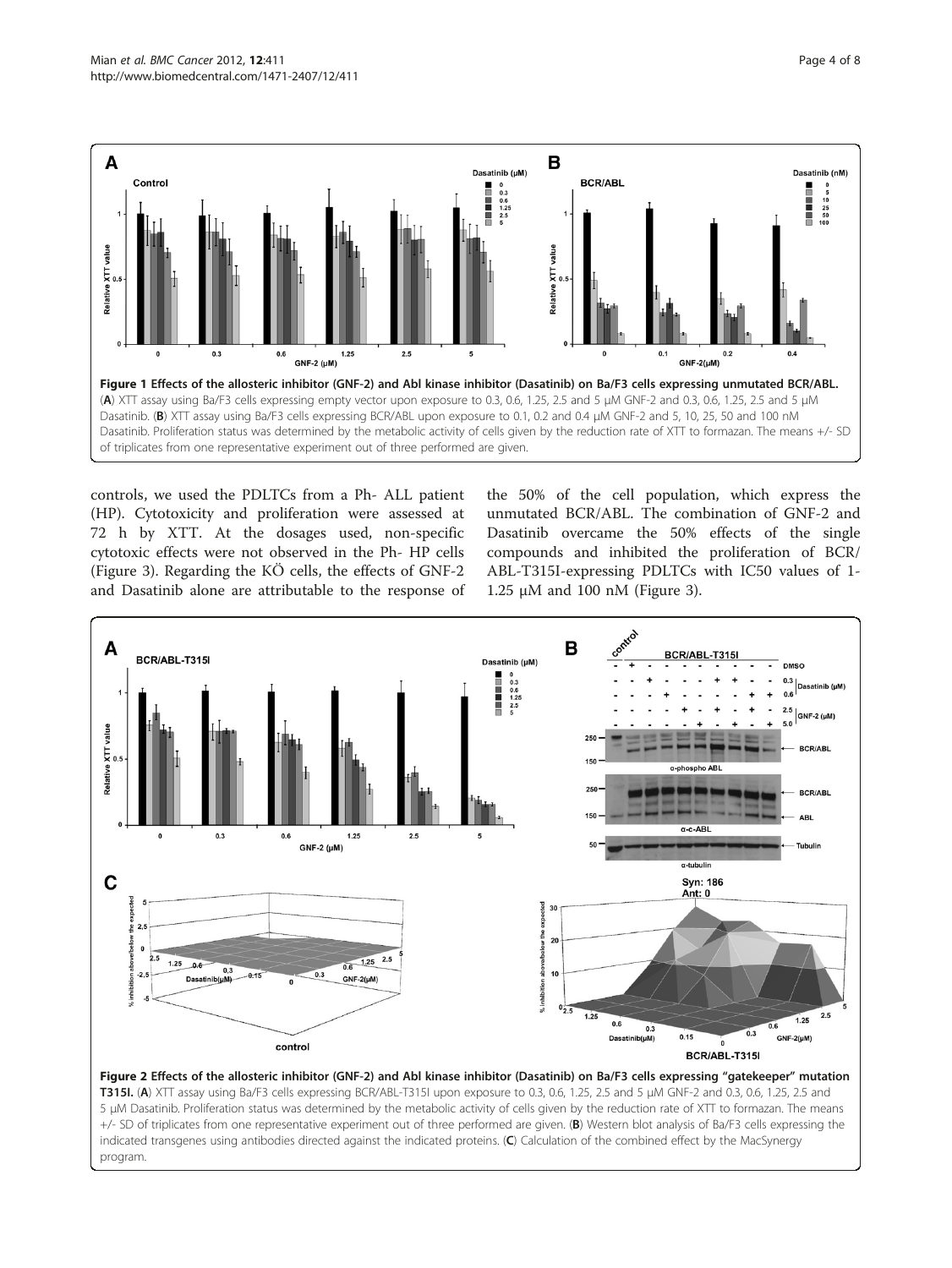<span id="page-3-0"></span>

controls, we used the PDLTCs from a Ph- ALL patient (HP). Cytotoxicity and proliferation were assessed at 72 h by XTT. At the dosages used, non-specific cytotoxic effects were not observed in the Ph- HP cells (Figure [3](#page-4-0)). Regarding the KÖ cells, the effects of GNF-2 and Dasatinib alone are attributable to the response of

the 50% of the cell population, which express the unmutated BCR/ABL. The combination of GNF-2 and Dasatinib overcame the 50% effects of the single compounds and inhibited the proliferation of BCR/ ABL-T315I-expressing PDLTCs with IC50 values of 1- 1.25 μM and 100 nM (Figure [3](#page-4-0)).



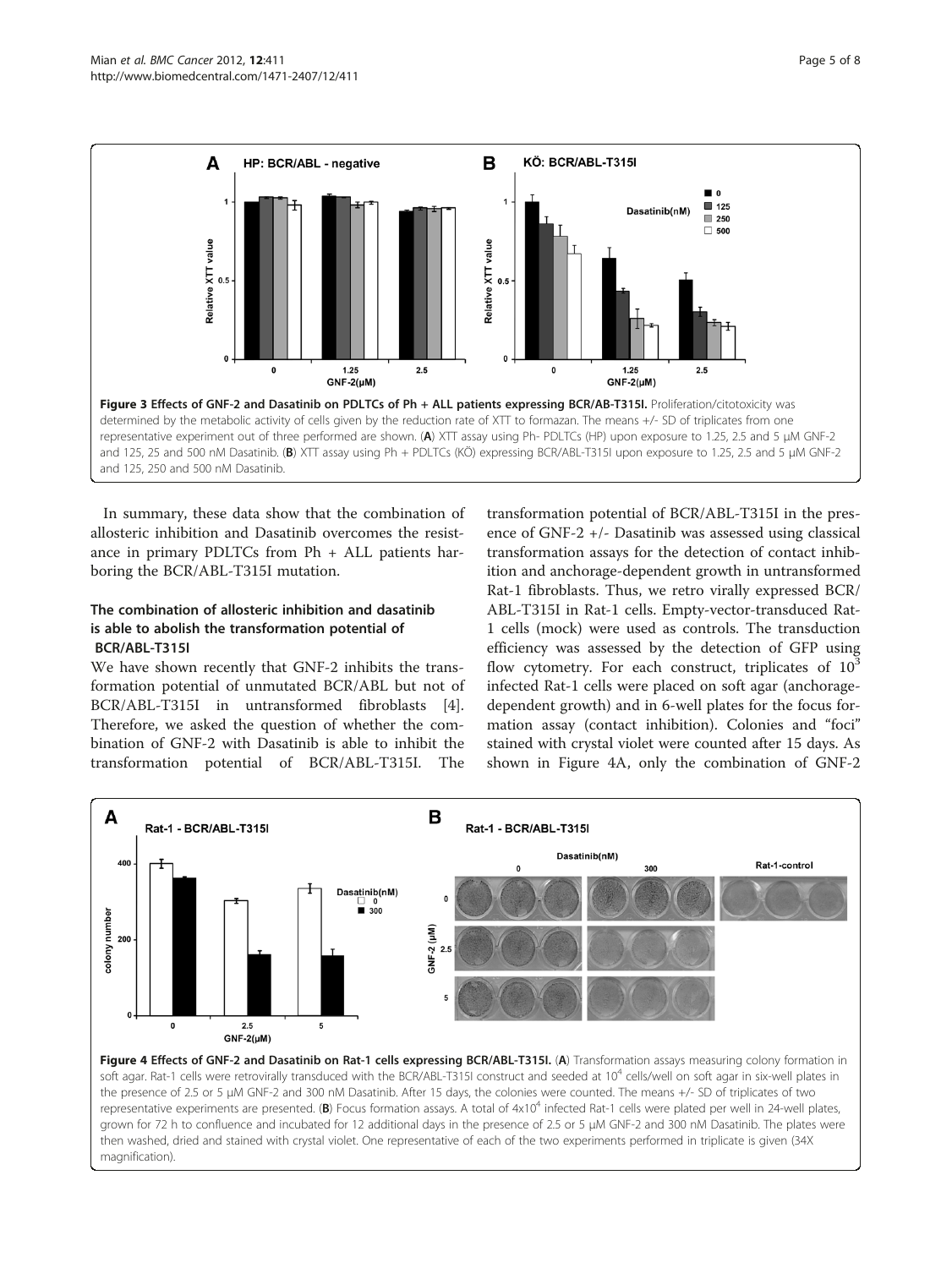<span id="page-4-0"></span>

In summary, these data show that the combination of allosteric inhibition and Dasatinib overcomes the resistance in primary PDLTCs from Ph + ALL patients harboring the BCR/ABL-T315I mutation.

### The combination of allosteric inhibition and dasatinib is able to abolish the transformation potential of BCR/ABL-T315I

We have shown recently that GNF-2 inhibits the transformation potential of unmutated BCR/ABL but not of BCR/ABL-T315I in untransformed fibroblasts [\[4](#page-6-0)]. Therefore, we asked the question of whether the combination of GNF-2 with Dasatinib is able to inhibit the transformation potential of BCR/ABL-T315I. The

magnification).

transformation potential of BCR/ABL-T315I in the presence of GNF-2 +/- Dasatinib was assessed using classical transformation assays for the detection of contact inhibition and anchorage-dependent growth in untransformed Rat-1 fibroblasts. Thus, we retro virally expressed BCR/ ABL-T315I in Rat-1 cells. Empty-vector-transduced Rat-1 cells (mock) were used as controls. The transduction efficiency was assessed by the detection of GFP using flow cytometry. For each construct, triplicates of  $10<sup>3</sup>$ infected Rat-1 cells were placed on soft agar (anchoragedependent growth) and in 6-well plates for the focus formation assay (contact inhibition). Colonies and "foci" stained with crystal violet were counted after 15 days. As shown in Figure 4A, only the combination of GNF-2

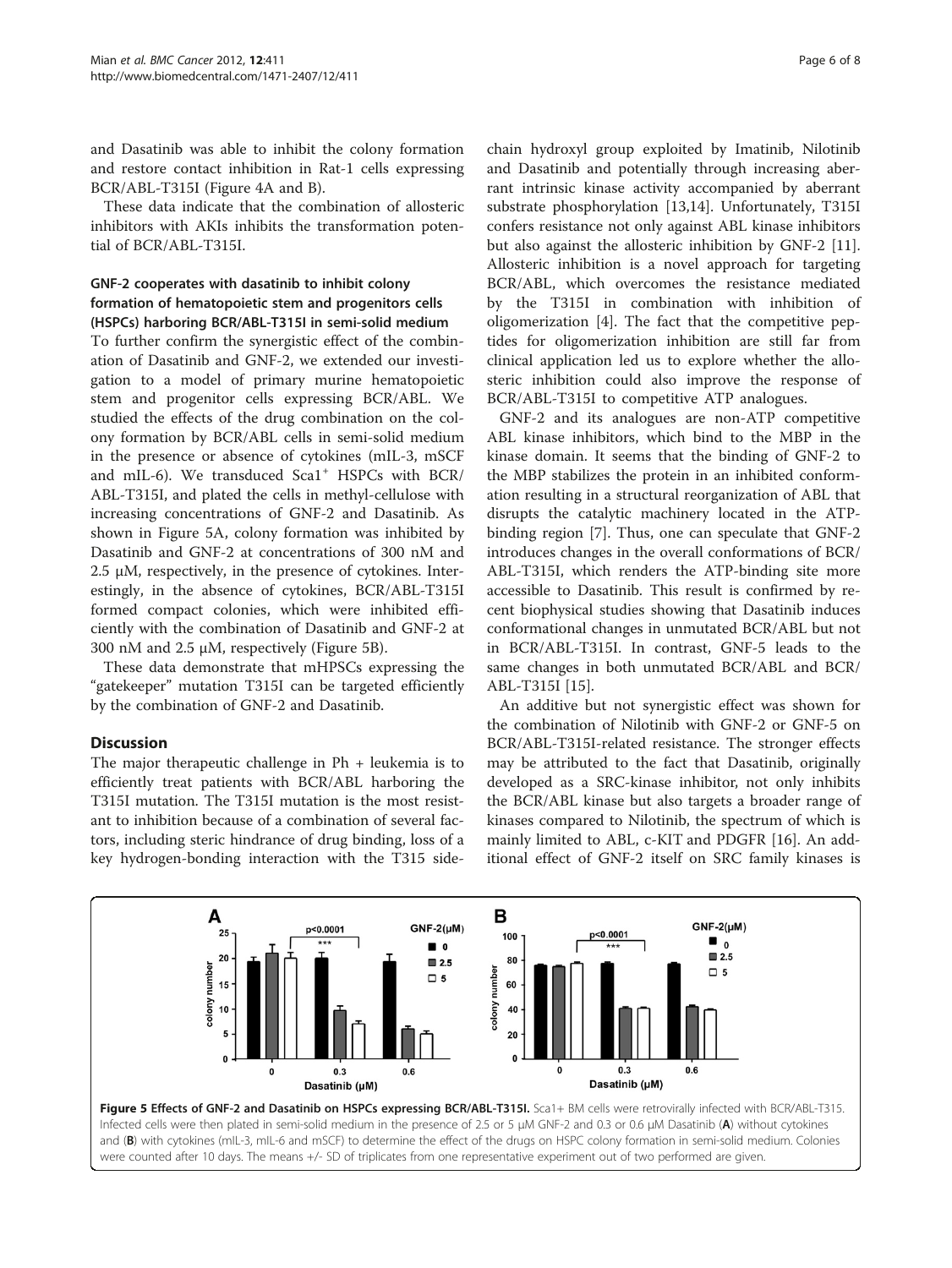and Dasatinib was able to inhibit the colony formation and restore contact inhibition in Rat-1 cells expressing BCR/ABL-T315I (Figure [4A and B](#page-4-0)).

These data indicate that the combination of allosteric inhibitors with AKIs inhibits the transformation potential of BCR/ABL-T315I.

## GNF-2 cooperates with dasatinib to inhibit colony formation of hematopoietic stem and progenitors cells (HSPCs) harboring BCR/ABL-T315I in semi-solid medium

To further confirm the synergistic effect of the combination of Dasatinib and GNF-2, we extended our investigation to a model of primary murine hematopoietic stem and progenitor cells expressing BCR/ABL. We studied the effects of the drug combination on the colony formation by BCR/ABL cells in semi-solid medium in the presence or absence of cytokines (mIL-3, mSCF and mIL-6). We transduced Sca1<sup>+</sup> HSPCs with BCR/ ABL-T315I, and plated the cells in methyl-cellulose with increasing concentrations of GNF-2 and Dasatinib. As shown in Figure 5A, colony formation was inhibited by Dasatinib and GNF-2 at concentrations of 300 nM and 2.5 μM, respectively, in the presence of cytokines. Interestingly, in the absence of cytokines, BCR/ABL-T315I formed compact colonies, which were inhibited efficiently with the combination of Dasatinib and GNF-2 at 300 nM and 2.5 μM, respectively (Figure 5B).

These data demonstrate that mHPSCs expressing the "gatekeeper" mutation T315I can be targeted efficiently by the combination of GNF-2 and Dasatinib.

## **Discussion**

The major therapeutic challenge in  $Ph +$  leukemia is to efficiently treat patients with BCR/ABL harboring the T315I mutation. The T315I mutation is the most resistant to inhibition because of a combination of several factors, including steric hindrance of drug binding, loss of a key hydrogen-bonding interaction with the T315 sidechain hydroxyl group exploited by Imatinib, Nilotinib and Dasatinib and potentially through increasing aberrant intrinsic kinase activity accompanied by aberrant substrate phosphorylation [[13](#page-6-0),[14](#page-6-0)]. Unfortunately, T315I confers resistance not only against ABL kinase inhibitors but also against the allosteric inhibition by GNF-2 [\[11](#page-6-0)]. Allosteric inhibition is a novel approach for targeting BCR/ABL, which overcomes the resistance mediated by the T315I in combination with inhibition of oligomerization [\[4](#page-6-0)]. The fact that the competitive peptides for oligomerization inhibition are still far from clinical application led us to explore whether the allosteric inhibition could also improve the response of BCR/ABL-T315I to competitive ATP analogues.

GNF-2 and its analogues are non-ATP competitive ABL kinase inhibitors, which bind to the MBP in the kinase domain. It seems that the binding of GNF-2 to the MBP stabilizes the protein in an inhibited conformation resulting in a structural reorganization of ABL that disrupts the catalytic machinery located in the ATPbinding region [[7\]](#page-6-0). Thus, one can speculate that GNF-2 introduces changes in the overall conformations of BCR/ ABL-T315I, which renders the ATP-binding site more accessible to Dasatinib. This result is confirmed by recent biophysical studies showing that Dasatinib induces conformational changes in unmutated BCR/ABL but not in BCR/ABL-T315I. In contrast, GNF-5 leads to the same changes in both unmutated BCR/ABL and BCR/ ABL-T315I [[15\]](#page-6-0).

An additive but not synergistic effect was shown for the combination of Nilotinib with GNF-2 or GNF-5 on BCR/ABL-T315I-related resistance. The stronger effects may be attributed to the fact that Dasatinib, originally developed as a SRC-kinase inhibitor, not only inhibits the BCR/ABL kinase but also targets a broader range of kinases compared to Nilotinib, the spectrum of which is mainly limited to ABL, c-KIT and PDGFR [[16\]](#page-7-0). An additional effect of GNF-2 itself on SRC family kinases is

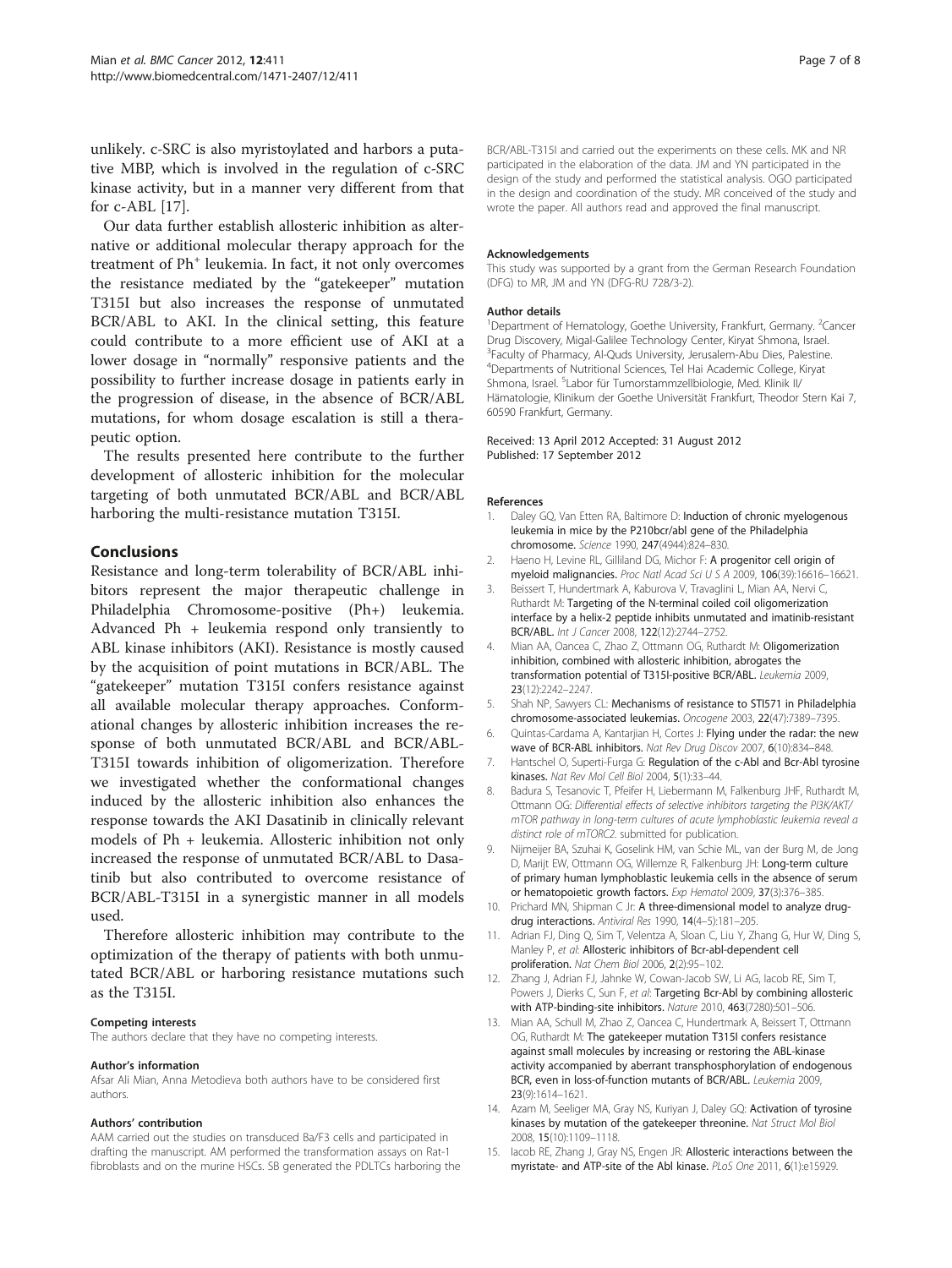<span id="page-6-0"></span>unlikely. c-SRC is also myristoylated and harbors a putative MBP, which is involved in the regulation of c-SRC kinase activity, but in a manner very different from that for c-ABL [[17](#page-7-0)].

Our data further establish allosteric inhibition as alternative or additional molecular therapy approach for the treatment of Ph<sup>+</sup> leukemia. In fact, it not only overcomes the resistance mediated by the "gatekeeper" mutation T315I but also increases the response of unmutated BCR/ABL to AKI. In the clinical setting, this feature could contribute to a more efficient use of AKI at a lower dosage in "normally" responsive patients and the possibility to further increase dosage in patients early in the progression of disease, in the absence of BCR/ABL mutations, for whom dosage escalation is still a therapeutic option.

The results presented here contribute to the further development of allosteric inhibition for the molecular targeting of both unmutated BCR/ABL and BCR/ABL harboring the multi-resistance mutation T315I.

#### Conclusions

Resistance and long-term tolerability of BCR/ABL inhibitors represent the major therapeutic challenge in Philadelphia Chromosome-positive (Ph+) leukemia. Advanced Ph + leukemia respond only transiently to ABL kinase inhibitors (AKI). Resistance is mostly caused by the acquisition of point mutations in BCR/ABL. The "gatekeeper" mutation T315I confers resistance against all available molecular therapy approaches. Conformational changes by allosteric inhibition increases the response of both unmutated BCR/ABL and BCR/ABL-T315I towards inhibition of oligomerization. Therefore we investigated whether the conformational changes induced by the allosteric inhibition also enhances the response towards the AKI Dasatinib in clinically relevant models of Ph + leukemia. Allosteric inhibition not only increased the response of unmutated BCR/ABL to Dasatinib but also contributed to overcome resistance of BCR/ABL-T315I in a synergistic manner in all models used.

Therefore allosteric inhibition may contribute to the optimization of the therapy of patients with both unmutated BCR/ABL or harboring resistance mutations such as the T315I.

#### Competing interests

The authors declare that they have no competing interests.

#### Author's information

Afsar Ali Mian, Anna Metodieva both authors have to be considered first authors.

#### Authors' contribution

AAM carried out the studies on transduced Ba/F3 cells and participated in drafting the manuscript. AM performed the transformation assays on Rat-1 fibroblasts and on the murine HSCs. SB generated the PDLTCs harboring the BCR/ABL-T315I and carried out the experiments on these cells. MK and NR participated in the elaboration of the data. JM and YN participated in the design of the study and performed the statistical analysis. OGO participated in the design and coordination of the study. MR conceived of the study and wrote the paper. All authors read and approved the final manuscript.

#### Acknowledgements

This study was supported by a grant from the German Research Foundation (DFG) to MR, JM and YN (DFG-RU 728/3-2).

#### Author details

<sup>1</sup>Department of Hematology, Goethe University, Frankfurt, Germany. <sup>2</sup>Cancer Drug Discovery, Migal-Galilee Technology Center, Kiryat Shmona, Israel. <sup>3</sup>Faculty of Pharmacy, Al-Quds University, Jerusalem-Abu Dies, Palestine. 4 Departments of Nutritional Sciences, Tel Hai Academic College, Kiryat Shmona, Israel. <sup>5</sup>Labor für Tumorstammzellbiologie, Med. Klinik II/ Hämatologie, Klinikum der Goethe Universität Frankfurt, Theodor Stern Kai 7, 60590 Frankfurt, Germany.

#### Received: 13 April 2012 Accepted: 31 August 2012 Published: 17 September 2012

#### References

- 1. Daley GO, Van Etten RA, Baltimore D: Induction of chronic myelogenous leukemia in mice by the P210bcr/abl gene of the Philadelphia chromosome. Science 1990, 247(4944):824–830.
- 2. Haeno H, Levine RL, Gilliland DG, Michor F: A progenitor cell origin of myeloid malignancies. Proc Natl Acad Sci U S A 2009, 106(39):16616–16621.
- 3. Beissert T, Hundertmark A, Kaburova V, Travaglini L, Mian AA, Nervi C, Ruthardt M: Targeting of the N-terminal coiled coil oligomerization interface by a helix-2 peptide inhibits unmutated and imatinib-resistant BCR/ABL. Int J Cancer 2008, 122(12):2744–2752.
- 4. Mian AA, Oancea C, Zhao Z, Ottmann OG, Ruthardt M: Oligomerization inhibition, combined with allosteric inhibition, abrogates the transformation potential of T315I-positive BCR/ABL. Leukemia 2009, 23(12):2242–2247.
- 5. Shah NP, Sawyers CL: Mechanisms of resistance to STI571 in Philadelphia chromosome-associated leukemias. Oncogene 2003, 22(47):7389–7395.
- 6. Quintas-Cardama A, Kantarjian H, Cortes J: Flying under the radar: the new wave of BCR-ABL inhibitors. Nat Rev Drug Discov 2007, 6(10):834–848.
- 7. Hantschel O, Superti-Furga G: Regulation of the c-Abl and Bcr-Abl tyrosine kinases. Nat Rev Mol Cell Biol 2004, 5(1):33–44.
- 8. Badura S, Tesanovic T, Pfeifer H, Liebermann M, Falkenburg JHF, Ruthardt M, Ottmann OG: Differential effects of selective inhibitors targeting the PI3K/AKT/ mTOR pathway in long-term cultures of acute lymphoblastic leukemia reveal a distinct role of mTORC2. submitted for publication.
- 9. Nijmeijer BA, Szuhai K, Goselink HM, van Schie ML, van der Burg M, de Jong D, Marijt EW, Ottmann OG, Willemze R, Falkenburg JH: Long-term culture of primary human lymphoblastic leukemia cells in the absence of serum or hematopoietic growth factors. Exp Hematol 2009, 37(3):376–385.
- 10. Prichard MN, Shipman C Jr: A three-dimensional model to analyze drugdrug interactions. Antiviral Res 1990, 14(4–5):181–205.
- 11. Adrian FJ, Ding Q, Sim T, Velentza A, Sloan C, Liu Y, Zhang G, Hur W, Ding S, Manley P, et al: Allosteric inhibitors of Bcr-abl-dependent cell proliferation. Nat Chem Biol 2006, 2(2):95–102.
- 12. Zhang J, Adrian FJ, Jahnke W, Cowan-Jacob SW, Li AG, Iacob RE, Sim T, Powers J, Dierks C, Sun F, et al: Targeting Bcr-Abl by combining allosteric with ATP-binding-site inhibitors. Nature 2010, 463(7280):501–506.
- 13. Mian AA, Schull M, Zhao Z, Oancea C, Hundertmark A, Beissert T, Ottmann OG, Ruthardt M: The gatekeeper mutation T315I confers resistance against small molecules by increasing or restoring the ABL-kinase activity accompanied by aberrant transphosphorylation of endogenous BCR, even in loss-of-function mutants of BCR/ABL. Leukemia 2009, 23(9):1614–1621.
- 14. Azam M, Seeliger MA, Gray NS, Kuriyan J, Daley GQ: Activation of tyrosine kinases by mutation of the gatekeeper threonine. Nat Struct Mol Biol 2008, 15(10):1109–1118.
- 15. Iacob RE, Zhang J, Gray NS, Engen JR: Allosteric interactions between the myristate- and ATP-site of the Abl kinase. PLoS One 2011, 6(1):e15929.